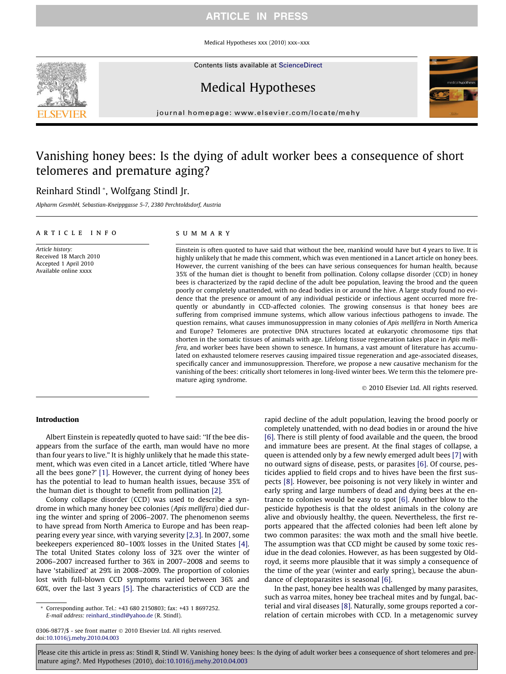## ARTICLE IN PRESS

Medical Hypotheses xxx (2010) xxx–xxx

Contents lists available at [ScienceDirect](http://www.sciencedirect.com/science/journal/03069877)



# Medical Hypotheses



## Vanishing honey bees: Is the dying of adult worker bees a consequence of short telomeres and premature aging?

### Reinhard Stindl \*, Wolfgang Stindl Jr.

Alpharm GesmbH, Sebastian-Kneippgasse 5-7, 2380 Perchtoldsdorf, Austria

#### article info

Article history: Received 18 March 2010 Accepted 1 April 2010 Available online xxxx

### SUMMARY

Einstein is often quoted to have said that without the bee, mankind would have but 4 years to live. It is highly unlikely that he made this comment, which was even mentioned in a Lancet article on honey bees. However, the current vanishing of the bees can have serious consequences for human health, because 35% of the human diet is thought to benefit from pollination. Colony collapse disorder (CCD) in honey bees is characterized by the rapid decline of the adult bee population, leaving the brood and the queen poorly or completely unattended, with no dead bodies in or around the hive. A large study found no evidence that the presence or amount of any individual pesticide or infectious agent occurred more frequently or abundantly in CCD-affected colonies. The growing consensus is that honey bees are suffering from comprised immune systems, which allow various infectious pathogens to invade. The question remains, what causes immunosuppression in many colonies of Apis mellifera in North America and Europe? Telomeres are protective DNA structures located at eukaryotic chromosome tips that shorten in the somatic tissues of animals with age. Lifelong tissue regeneration takes place in Apis mellifera, and worker bees have been shown to senesce. In humans, a vast amount of literature has accumulated on exhausted telomere reserves causing impaired tissue regeneration and age-associated diseases, specifically cancer and immunosuppression. Therefore, we propose a new causative mechanism for the vanishing of the bees: critically short telomeres in long-lived winter bees. We term this the telomere premature aging syndrome.

- 2010 Elsevier Ltd. All rights reserved.

### Introduction

Albert Einstein is repeatedly quoted to have said: ''If the bee disappears from the surface of the earth, man would have no more than four years to live." It is highly unlikely that he made this statement, which was even cited in a Lancet article, titled 'Where have all the bees gone?' [\[1\]](#page-2-0). However, the current dying of honey bees has the potential to lead to human health issues, because 35% of the human diet is thought to benefit from pollination [\[2\]](#page-2-0).

Colony collapse disorder (CCD) was used to describe a syndrome in which many honey bee colonies (Apis mellifera) died during the winter and spring of 2006–2007. The phenomenon seems to have spread from North America to Europe and has been reappearing every year since, with varying severity [\[2,3\].](#page-2-0) In 2007, some beekeepers experienced 80–100% losses in the United States [\[4\].](#page-2-0) The total United States colony loss of 32% over the winter of 2006–2007 increased further to 36% in 2007–2008 and seems to have 'stabilized' at 29% in 2008–2009. The proportion of colonies lost with full-blown CCD symptoms varied between 36% and 60%, over the last 3 years [\[5\].](#page-2-0) The characteristics of CCD are the

0306-9877/\$ - see front matter © 2010 Elsevier Ltd. All rights reserved. doi[:10.1016/j.mehy.2010.04.003](http://dx.doi.org/10.1016/j.mehy.2010.04.003)

rapid decline of the adult population, leaving the brood poorly or completely unattended, with no dead bodies in or around the hive [\[6\]](#page-2-0). There is still plenty of food available and the queen, the brood and immature bees are present. At the final stages of collapse, a queen is attended only by a few newly emerged adult bees [\[7\]](#page-2-0) with no outward signs of disease, pests, or parasites [\[6\]](#page-2-0). Of course, pesticides applied to field crops and to hives have been the first suspects [\[8\].](#page-2-0) However, bee poisoning is not very likely in winter and early spring and large numbers of dead and dying bees at the entrance to colonies would be easy to spot [\[6\]](#page-2-0). Another blow to the pesticide hypothesis is that the oldest animals in the colony are alive and obviously healthy, the queen. Nevertheless, the first reports appeared that the affected colonies had been left alone by two common parasites: the wax moth and the small hive beetle. The assumption was that CCD might be caused by some toxic residue in the dead colonies. However, as has been suggested by Oldroyd, it seems more plausible that it was simply a consequence of the time of the year (winter and early spring), because the abundance of cleptoparasites is seasonal [\[6\]](#page-2-0).

In the past, honey bee health was challenged by many parasites, such as varroa mites, honey bee tracheal mites and by fungal, bacterial and viral diseases [\[8\].](#page-2-0) Naturally, some groups reported a correlation of certain microbes with CCD. In a metagenomic survey

Please cite this article in press as: Stindl R, Stindl W. Vanishing honey bees: Is the dying of adult worker bees a consequence of short telomeres and premature aging?. Med Hypotheses (2010), doi[:10.1016/j.mehy.2010.04.003](http://dx.doi.org/10.1016/j.mehy.2010.04.003)

Corresponding author. Tel.: +43 680 2150803; fax: +43 1 8697252. E-mail address: [reinhard\\_stindl@yahoo.de](mailto:reinhard_stindl@yahoo.de) (R. Stindl).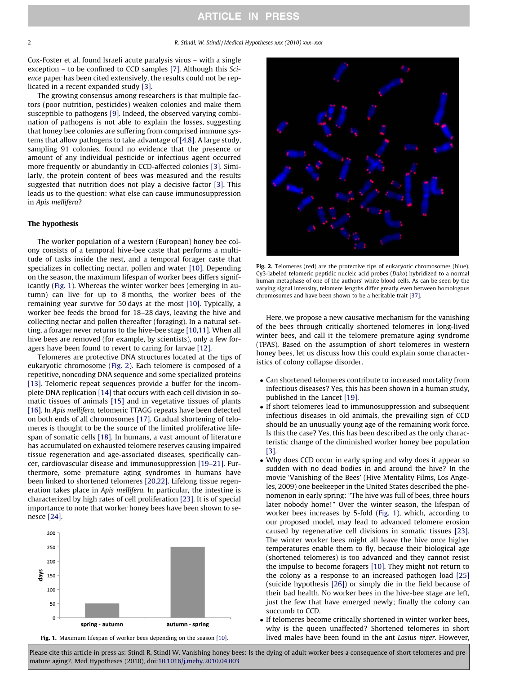Cox-Foster et al. found Israeli acute paralysis virus – with a single exception – to be confined to CCD samples [\[7\]](#page-2-0). Although this Science paper has been cited extensively, the results could not be replicated in a recent expanded study [\[3\].](#page-2-0)

The growing consensus among researchers is that multiple factors (poor nutrition, pesticides) weaken colonies and make them susceptible to pathogens [\[9\]](#page-2-0). Indeed, the observed varying combination of pathogens is not able to explain the losses, suggesting that honey bee colonies are suffering from comprised immune systems that allow pathogens to take advantage of [\[4,8\].](#page-2-0) A large study, sampling 91 colonies, found no evidence that the presence or amount of any individual pesticide or infectious agent occurred more frequently or abundantly in CCD-affected colonies [\[3\]](#page-2-0). Similarly, the protein content of bees was measured and the results suggested that nutrition does not play a decisive factor [\[3\].](#page-2-0) This leads us to the question: what else can cause immunosuppression in Apis mellifera?

#### The hypothesis

The worker population of a western (European) honey bee colony consists of a temporal hive-bee caste that performs a multitude of tasks inside the nest, and a temporal forager caste that specializes in collecting nectar, pollen and water [\[10\].](#page-3-0) Depending on the season, the maximum lifespan of worker bees differs significantly (Fig. 1). Whereas the winter worker bees (emerging in autumn) can live for up to 8 months, the worker bees of the remaining year survive for 50 days at the most [\[10\].](#page-3-0) Typically, a worker bee feeds the brood for 18–28 days, leaving the hive and collecting nectar and pollen thereafter (foraging). In a natural setting, a forager never returns to the hive-bee stage [\[10,11\]](#page-3-0). When all hive bees are removed (for example, by scientists), only a few foragers have been found to revert to caring for larvae [\[12\].](#page-3-0)

Telomeres are protective DNA structures located at the tips of eukaryotic chromosome (Fig. 2). Each telomere is composed of a repetitive, noncoding DNA sequence and some specialized proteins [\[13\]](#page-3-0). Telomeric repeat sequences provide a buffer for the incomplete DNA replication [\[14\]](#page-3-0) that occurs with each cell division in somatic tissues of animals [\[15\]](#page-3-0) and in vegetative tissues of plants [\[16\]](#page-3-0). In Apis mellifera, telomeric TTAGG repeats have been detected on both ends of all chromosomes [\[17\].](#page-3-0) Gradual shortening of telomeres is thought to be the source of the limited proliferative lifespan of somatic cells [\[18\].](#page-3-0) In humans, a vast amount of literature has accumulated on exhausted telomere reserves causing impaired tissue regeneration and age-associated diseases, specifically cancer, cardiovascular disease and immunosuppression [\[19–21\]](#page-3-0). Furthermore, some premature aging syndromes in humans have been linked to shortened telomeres [\[20,22\]](#page-3-0). Lifelong tissue regeneration takes place in Apis mellifera. In particular, the intestine is characterized by high rates of cell proliferation [\[23\].](#page-3-0) It is of special importance to note that worker honey bees have been shown to senesce [\[24\].](#page-3-0)





Fig. 2. Telomeres (red) are the protective tips of eukaryotic chromosomes (blue). Cy3-labeled telomeric peptidic nucleic acid probes (Dako) hybridized to a normal human metaphase of one of the authors' white blood cells. As can be seen by the varying signal intensity, telomere lengths differ greatly even between homologous chromosomes and have been shown to be a heritable trait [\[37\].](#page-3-0)

Here, we propose a new causative mechanism for the vanishing of the bees through critically shortened telomeres in long-lived winter bees, and call it the telomere premature aging syndrome (TPAS). Based on the assumption of short telomeres in western honey bees, let us discuss how this could explain some characteristics of colony collapse disorder.

- Can shortened telomeres contribute to increased mortality from infectious diseases? Yes, this has been shown in a human study, published in the Lancet [\[19\].](#page-3-0)
- If short telomeres lead to immunosuppression and subsequent infectious diseases in old animals, the prevailing sign of CCD should be an unusually young age of the remaining work force. Is this the case? Yes, this has been described as the only characteristic change of the diminished worker honey bee population [\[3\]](#page-2-0).
- Why does CCD occur in early spring and why does it appear so sudden with no dead bodies in and around the hive? In the movie 'Vanishing of the Bees' (Hive Mentality Films, Los Angeles, 2009) one beekeeper in the United States described the phenomenon in early spring: ''The hive was full of bees, three hours later nobody home!" Over the winter season, the lifespan of worker bees increases by 5-fold (Fig. 1), which, according to our proposed model, may lead to advanced telomere erosion caused by regenerative cell divisions in somatic tissues [\[23\].](#page-3-0) The winter worker bees might all leave the hive once higher temperatures enable them to fly, because their biological age (shortened telomeres) is too advanced and they cannot resist the impulse to become foragers [\[10\]](#page-3-0). They might not return to the colony as a response to an increased pathogen load [\[25\]](#page-3-0) (suicide hypothesis [\[26\]\)](#page-3-0) or simply die in the field because of their bad health. No worker bees in the hive-bee stage are left, just the few that have emerged newly; finally the colony can succumb to CCD.
- If telomeres become critically shortened in winter worker bees, why is the queen unaffected? Shortened telomeres in short Fig. 1. Maximum lifespan of worker bees depending on the season [\[10\].](#page-3-0) lived males have been found in the ant Lasius niger. However,

Please cite this article in press as: Stindl R, Stindl W. Vanishing honey bees: Is the dying of adult worker bees a consequence of short telomeres and premature aging?. Med Hypotheses (2010), doi[:10.1016/j.mehy.2010.04.003](http://dx.doi.org/10.1016/j.mehy.2010.04.003)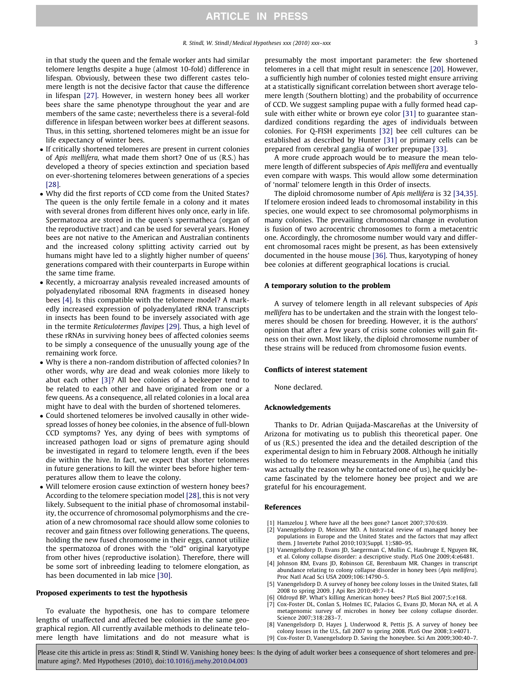<span id="page-2-0"></span>in that study the queen and the female worker ants had similar telomere lengths despite a huge (almost 10-fold) difference in lifespan. Obviously, between these two different castes telomere length is not the decisive factor that cause the difference in lifespan [\[27\]](#page-3-0). However, in western honey bees all worker bees share the same phenotype throughout the year and are members of the same caste; nevertheless there is a several-fold difference in lifespan between worker bees at different seasons. Thus, in this setting, shortened telomeres might be an issue for life expectancy of winter bees.

- If critically shortened telomeres are present in current colonies of Apis mellifera, what made them short? One of us (R.S.) has developed a theory of species extinction and speciation based on ever-shortening telomeres between generations of a species [\[28\].](#page-3-0)
- Why did the first reports of CCD come from the United States? The queen is the only fertile female in a colony and it mates with several drones from different hives only once, early in life. Spermatozoa are stored in the queen's spermatheca (organ of the reproductive tract) and can be used for several years. Honey bees are not native to the American and Australian continents and the increased colony splitting activity carried out by humans might have led to a slightly higher number of queens' generations compared with their counterparts in Europe within the same time frame.
- Recently, a microarray analysis revealed increased amounts of polyadenylated ribosomal RNA fragments in diseased honey bees [4]. Is this compatible with the telomere model? A markedly increased expression of polyadenylated rRNA transcripts in insects has been found to be inversely associated with age in the termite Reticulotermes flavipes [\[29\]](#page-3-0). Thus, a high level of these rRNAs in surviving honey bees of affected colonies seems to be simply a consequence of the unusually young age of the remaining work force.
- Why is there a non-random distribution of affected colonies? In other words, why are dead and weak colonies more likely to abut each other [3]? All bee colonies of a beekeeper tend to be related to each other and have originated from one or a few queens. As a consequence, all related colonies in a local area might have to deal with the burden of shortened telomeres.
- Could shortened telomeres be involved causally in other widespread losses of honey bee colonies, in the absence of full-blown CCD symptoms? Yes, any dying of bees with symptoms of increased pathogen load or signs of premature aging should be investigated in regard to telomere length, even if the bees die within the hive. In fact, we expect that shorter telomeres in future generations to kill the winter bees before higher temperatures allow them to leave the colony.
- Will telomere erosion cause extinction of western honey bees? According to the telomere speciation model [\[28\],](#page-3-0) this is not very likely. Subsequent to the initial phase of chromosomal instability, the occurrence of chromosomal polymorphisms and the creation of a new chromosomal race should allow some colonies to recover and gain fitness over following generations. The queens, holding the new fused chromosome in their eggs, cannot utilize the spermatozoa of drones with the ''old" original karyotype from other hives (reproductive isolation). Therefore, there will be some sort of inbreeding leading to telomere elongation, as has been documented in lab mice [\[30\].](#page-3-0)

#### Proposed experiments to test the hypothesis

To evaluate the hypothesis, one has to compare telomere lengths of unaffected and affected bee colonies in the same geographical region. All currently available methods to delineate telomere length have limitations and do not measure what is presumably the most important parameter: the few shortened telomeres in a cell that might result in senescence [\[20\]](#page-3-0). However, a sufficiently high number of colonies tested might ensure arriving at a statistically significant correlation between short average telomere length (Southern blotting) and the probability of occurrence of CCD. We suggest sampling pupae with a fully formed head capsule with either white or brown eye color [\[31\]](#page-3-0) to guarantee standardized conditions regarding the ages of individuals between colonies. For Q-FISH experiments [\[32\]](#page-3-0) bee cell cultures can be established as described by Hunter [\[31\]](#page-3-0) or primary cells can be prepared from cerebral ganglia of worker prepupae [\[33\]](#page-3-0).

A more crude approach would be to measure the mean telomere length of different subspecies of Apis mellifera and eventually even compare with wasps. This would allow some determination of 'normal' telomere length in this Order of insects.

The diploid chromosome number of Apis mellifera is 32 [\[34,35\].](#page-3-0) If telomere erosion indeed leads to chromosomal instability in this species, one would expect to see chromosomal polymorphisms in many colonies. The prevailing chromosomal change in evolution is fusion of two acrocentric chromosomes to form a metacentric one. Accordingly, the chromosome number would vary and different chromosomal races might be present, as has been extensively documented in the house mouse [\[36\]](#page-3-0). Thus, karyotyping of honey bee colonies at different geographical locations is crucial.

### A temporary solution to the problem

A survey of telomere length in all relevant subspecies of Apis mellifera has to be undertaken and the strain with the longest telomeres should be chosen for breeding. However, it is the authors' opinion that after a few years of crisis some colonies will gain fitness on their own. Most likely, the diploid chromosome number of these strains will be reduced from chromosome fusion events.

#### Conflicts of interest statement

None declared.

#### Acknowledgements

Thanks to Dr. Adrian Quijada-Mascareñas at the University of Arizona for motivating us to publish this theoretical paper. One of us (R.S.) presented the idea and the detailed description of the experimental design to him in February 2008. Although he initially wished to do telomere measurements in the Amphibia (and this was actually the reason why he contacted one of us), he quickly became fascinated by the telomere honey bee project and we are grateful for his encouragement.

#### References

- [1] Hamzelou J. Where have all the bees gone? Lancet 2007;370:639.
- Vanengelsdorp D, Meixner MD. A historical review of managed honey bee populations in Europe and the United States and the factors that may affect them. J Invertebr Pathol 2010;103(Suppl. 1):S80–95.
- [3] Vanengelsdorp D, Evans JD, Saegerman C, Mullin C, Haubruge E, Nguyen BK, et al. Colony collapse disorder: a descriptive study. PLoS One 2009;4:e6481.
- [4] Johnson RM, Evans JD, Robinson GE, Berenbaum MR. Changes in transcript abundance relating to colony collapse disorder in honey bees (Apis mellifera). Proc Natl Acad Sci USA 2009;106:14790–5.
- [5] Vanengelsdorp D. A survey of honey bee colony losses in the United States, fall 2008 to spring 2009. J Api Res 2010;49:7–14.
- [6] Oldroyd BP. What's killing American honey bees? PLoS Biol 2007;5:e168.
- [7] Cox-Foster DL, Conlan S, Holmes EC, Palacios G, Evans JD, Moran NA, et al. A metagenomic survey of microbes in honey bee colony collapse disorder. Science 2007;318:283–7.
- [8] Vanengelsdorp D, Hayes J, Underwood R, Pettis JS. A survey of honey bee colony losses in the U.S., fall 2007 to spring 2008. PLoS One 2008;3:e4071.
- [9] Cox-Foster D, Vanengelsdorp D. Saving the honeybee. Sci Am 2009;300:40–7.

Please cite this article in press as: Stindl R, Stindl W. Vanishing honey bees: Is the dying of adult worker bees a consequence of short telomeres and premature aging?. Med Hypotheses (2010), doi[:10.1016/j.mehy.2010.04.003](http://dx.doi.org/10.1016/j.mehy.2010.04.003)